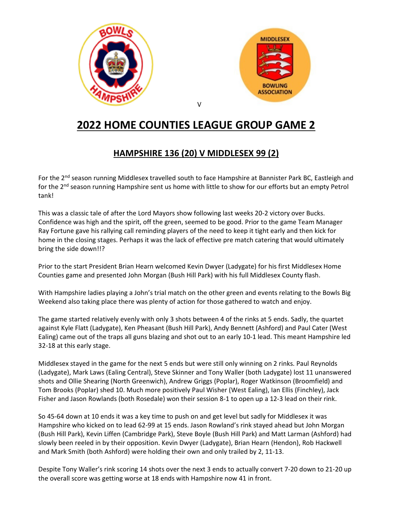



## **2022 HOME COUNTIES LEAGUE GROUP GAME 2**

## **HAMPSHIRE 136 (20) V MIDDLESEX 99 (2)**

For the 2<sup>nd</sup> season running Middlesex travelled south to face Hampshire at Bannister Park BC, Eastleigh and for the 2<sup>nd</sup> season running Hampshire sent us home with little to show for our efforts but an empty Petrol tank!

This was a classic tale of after the Lord Mayors show following last weeks 20-2 victory over Bucks. Confidence was high and the spirit, off the green, seemed to be good. Prior to the game Team Manager Ray Fortune gave his rallying call reminding players of the need to keep it tight early and then kick for home in the closing stages. Perhaps it was the lack of effective pre match catering that would ultimately bring the side down!!?

Prior to the start President Brian Hearn welcomed Kevin Dwyer (Ladygate) for his first Middlesex Home Counties game and presented John Morgan (Bush Hill Park) with his full Middlesex County flash.

With Hampshire ladies playing a John's trial match on the other green and events relating to the Bowls Big Weekend also taking place there was plenty of action for those gathered to watch and enjoy.

The game started relatively evenly with only 3 shots between 4 of the rinks at 5 ends. Sadly, the quartet against Kyle Flatt (Ladygate), Ken Pheasant (Bush Hill Park), Andy Bennett (Ashford) and Paul Cater (West Ealing) came out of the traps all guns blazing and shot out to an early 10-1 lead. This meant Hampshire led 32-18 at this early stage.

Middlesex stayed in the game for the next 5 ends but were still only winning on 2 rinks. Paul Reynolds (Ladygate), Mark Laws (Ealing Central), Steve Skinner and Tony Waller (both Ladygate) lost 11 unanswered shots and Ollie Shearing (North Greenwich), Andrew Griggs (Poplar), Roger Watkinson (Broomfield) and Tom Brooks (Poplar) shed 10. Much more positively Paul Wisher (West Ealing), Ian Ellis (Finchley), Jack Fisher and Jason Rowlands (both Rosedale) won their session 8-1 to open up a 12-3 lead on their rink.

So 45-64 down at 10 ends it was a key time to push on and get level but sadly for Middlesex it was Hampshire who kicked on to lead 62-99 at 15 ends. Jason Rowland's rink stayed ahead but John Morgan (Bush Hill Park), Kevin Liffen (Cambridge Park), Steve Boyle (Bush Hill Park) and Matt Larman (Ashford) had slowly been reeled in by their opposition. Kevin Dwyer (Ladygate), Brian Hearn (Hendon), Rob Hackwell and Mark Smith (both Ashford) were holding their own and only trailed by 2, 11-13.

Despite Tony Waller's rink scoring 14 shots over the next 3 ends to actually convert 7-20 down to 21-20 up the overall score was getting worse at 18 ends with Hampshire now 41 in front.